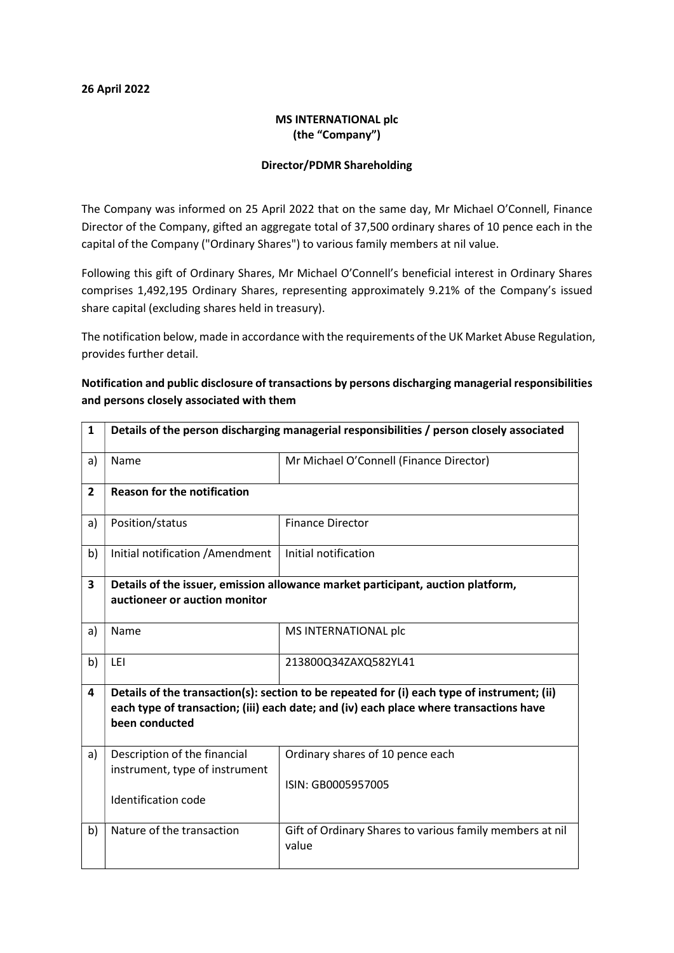#### 26 April 2022

### MS INTERNATIONAL plc (the "Company")

#### Director/PDMR Shareholding

The Company was informed on 25 April 2022 that on the same day, Mr Michael O'Connell, Finance Director of the Company, gifted an aggregate total of 37,500 ordinary shares of 10 pence each in the capital of the Company ("Ordinary Shares") to various family members at nil value.

Following this gift of Ordinary Shares, Mr Michael O'Connell's beneficial interest in Ordinary Shares comprises 1,492,195 Ordinary Shares, representing approximately 9.21% of the Company's issued share capital (excluding shares held in treasury).

The notification below, made in accordance with the requirements of the UK Market Abuse Regulation, provides further detail.

# Notification and public disclosure of transactions by persons discharging managerial responsibilities and persons closely associated with them

| $\mathbf{1}$            | Details of the person discharging managerial responsibilities / person closely associated                                                                                                               |                                                                   |  |  |  |
|-------------------------|---------------------------------------------------------------------------------------------------------------------------------------------------------------------------------------------------------|-------------------------------------------------------------------|--|--|--|
| a)                      | Name                                                                                                                                                                                                    | Mr Michael O'Connell (Finance Director)                           |  |  |  |
| $\overline{2}$          | <b>Reason for the notification</b>                                                                                                                                                                      |                                                                   |  |  |  |
| a)                      | Position/status                                                                                                                                                                                         | <b>Finance Director</b>                                           |  |  |  |
| b)                      | Initial notification / Amendment                                                                                                                                                                        | Initial notification                                              |  |  |  |
| $\overline{\mathbf{3}}$ | Details of the issuer, emission allowance market participant, auction platform,<br>auctioneer or auction monitor                                                                                        |                                                                   |  |  |  |
| a)                      | Name                                                                                                                                                                                                    | MS INTERNATIONAL plc                                              |  |  |  |
| b)                      | LEI                                                                                                                                                                                                     | 213800Q34ZAXQ582YL41                                              |  |  |  |
| 4                       | Details of the transaction(s): section to be repeated for (i) each type of instrument; (ii)<br>each type of transaction; (iii) each date; and (iv) each place where transactions have<br>been conducted |                                                                   |  |  |  |
| a)                      | Description of the financial<br>instrument, type of instrument                                                                                                                                          | Ordinary shares of 10 pence each<br>ISIN: GB0005957005            |  |  |  |
|                         | Identification code                                                                                                                                                                                     |                                                                   |  |  |  |
| b)                      | Nature of the transaction                                                                                                                                                                               | Gift of Ordinary Shares to various family members at nil<br>value |  |  |  |